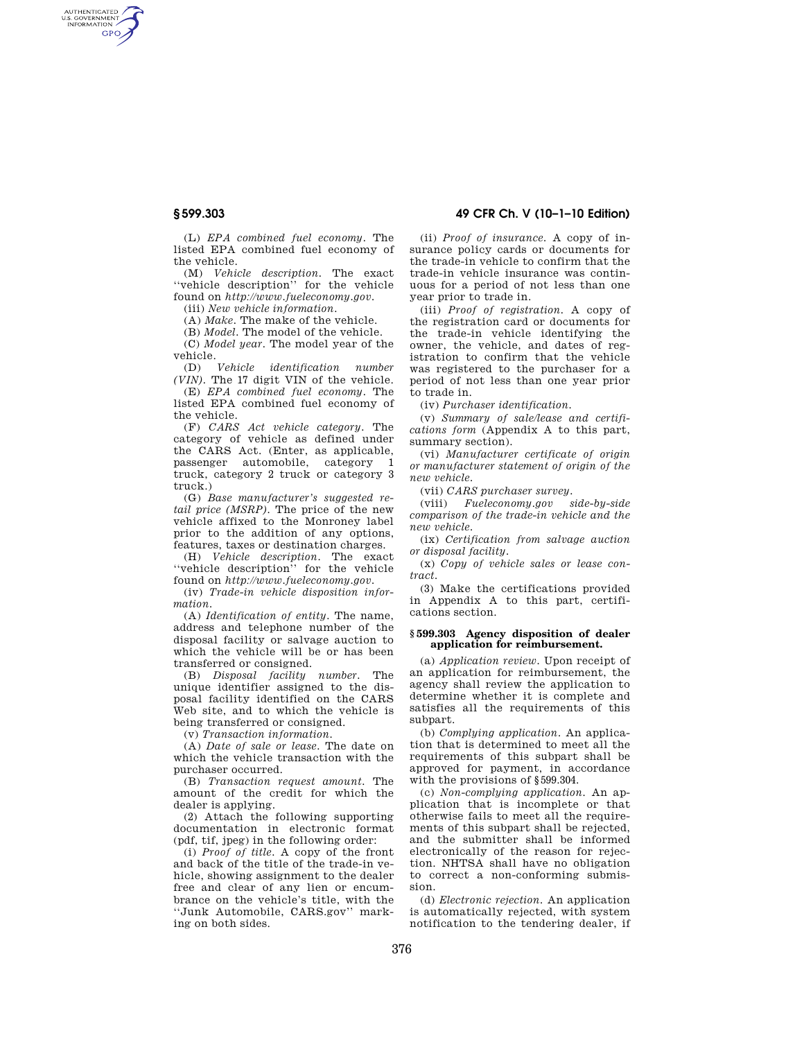AUTHENTICATED<br>U.S. GOVERNMENT<br>INFORMATION **GPO** 

> (L) *EPA combined fuel economy.* The listed EPA combined fuel economy of the vehicle.

> (M) *Vehicle description.* The exact ''vehicle description'' for the vehicle found on *http://www.fueleconomy.gov.*

(iii) *New vehicle information.* 

(A) *Make.* The make of the vehicle.

(B) *Model.* The model of the vehicle.

(C) *Model year.* The model year of the vehicle.<br>(D) Vehicle

 $$ *(VIN).* The 17 digit VIN of the vehicle.

(E) *EPA combined fuel economy.* The listed EPA combined fuel economy of the vehicle.

(F) *CARS Act vehicle category.* The category of vehicle as defined under the CARS Act. (Enter, as applicable, passenger automobile, category 1 truck, category 2 truck or category 3 truck.)

(G) *Base manufacturer's suggested retail price (MSRP).* The price of the new vehicle affixed to the Monroney label prior to the addition of any options, features, taxes or destination charges.

(H) *Vehicle description.* The exact ''vehicle description'' for the vehicle found on *http://www.fueleconomy.gov.* 

(iv) *Trade-in vehicle disposition information.* 

(A) *Identification of entity.* The name, address and telephone number of the disposal facility or salvage auction to which the vehicle will be or has been transferred or consigned.

(B) *Disposal facility number.* The unique identifier assigned to the disposal facility identified on the CARS Web site, and to which the vehicle is being transferred or consigned.

(v) *Transaction information.* 

(A) *Date of sale or lease.* The date on which the vehicle transaction with the purchaser occurred.

(B) *Transaction request amount.* The amount of the credit for which the dealer is applying.

(2) Attach the following supporting documentation in electronic format (pdf, tif, jpeg) in the following order:

(i) *Proof of title.* A copy of the front and back of the title of the trade-in vehicle, showing assignment to the dealer free and clear of any lien or encumbrance on the vehicle's title, with the ''Junk Automobile, CARS.gov'' marking on both sides.

**§ 599.303 49 CFR Ch. V (10–1–10 Edition)** 

(ii) *Proof of insurance.* A copy of insurance policy cards or documents for the trade-in vehicle to confirm that the trade-in vehicle insurance was continuous for a period of not less than one year prior to trade in.

(iii) *Proof of registration.* A copy of the registration card or documents for the trade-in vehicle identifying the owner, the vehicle, and dates of registration to confirm that the vehicle was registered to the purchaser for a period of not less than one year prior to trade in.

(iv) *Purchaser identification.* 

(v) *Summary of sale/lease and certifications form* (Appendix A to this part, summary section).

(vi) *Manufacturer certificate of origin or manufacturer statement of origin of the new vehicle.* 

(vii) *CARS purchaser survey.* 

(viii) *Fueleconomy.gov side-by-side comparison of the trade-in vehicle and the new vehicle.* 

(ix) *Certification from salvage auction or disposal facility.* 

(x) *Copy of vehicle sales or lease contract.* 

(3) Make the certifications provided in Appendix A to this part, certifications section.

## **§ 599.303 Agency disposition of dealer application for reimbursement.**

(a) *Application review.* Upon receipt of an application for reimbursement, the agency shall review the application to determine whether it is complete and satisfies all the requirements of this subpart.

(b) *Complying application.* An application that is determined to meet all the requirements of this subpart shall be approved for payment, in accordance with the provisions of §599.304.

(c) *Non-complying application.* An application that is incomplete or that otherwise fails to meet all the requirements of this subpart shall be rejected, and the submitter shall be informed electronically of the reason for rejection. NHTSA shall have no obligation to correct a non-conforming submission.

(d) *Electronic rejection.* An application is automatically rejected, with system notification to the tendering dealer, if